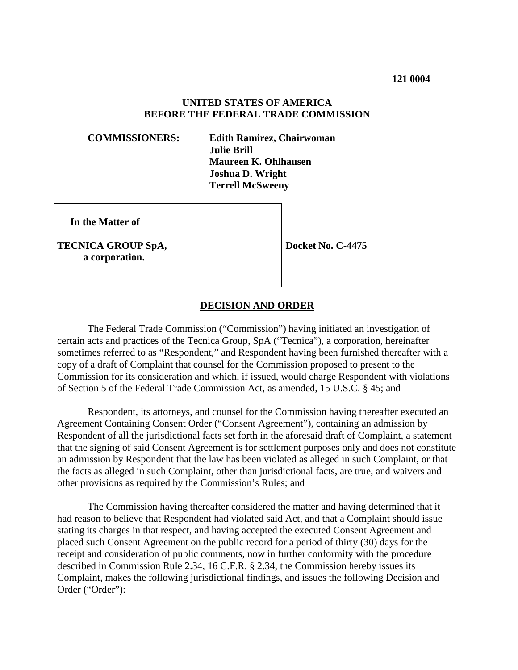### **UNITED STATES OF AMERICA BEFORE THE FEDERAL TRADE COMMISSION**

**COMMISSIONERS: Edith Ramirez, Chairwoman Julie Brill Maureen K. Ohlhausen Joshua D. Wright Terrell McSweeny**

 **In the Matter of**

**TECNICA GROUP SpA, a corporation.**

**Docket No. C-4475**

#### **DECISION AND ORDER**

The Federal Trade Commission ("Commission") having initiated an investigation of certain acts and practices of the Tecnica Group, SpA ("Tecnica"), a corporation, hereinafter sometimes referred to as "Respondent," and Respondent having been furnished thereafter with a copy of a draft of Complaint that counsel for the Commission proposed to present to the Commission for its consideration and which, if issued, would charge Respondent with violations of Section 5 of the Federal Trade Commission Act, as amended, 15 U.S.C. § 45; and

Respondent, its attorneys, and counsel for the Commission having thereafter executed an Agreement Containing Consent Order ("Consent Agreement"), containing an admission by Respondent of all the jurisdictional facts set forth in the aforesaid draft of Complaint, a statement that the signing of said Consent Agreement is for settlement purposes only and does not constitute an admission by Respondent that the law has been violated as alleged in such Complaint, or that the facts as alleged in such Complaint, other than jurisdictional facts, are true, and waivers and other provisions as required by the Commission's Rules; and

The Commission having thereafter considered the matter and having determined that it had reason to believe that Respondent had violated said Act, and that a Complaint should issue stating its charges in that respect, and having accepted the executed Consent Agreement and placed such Consent Agreement on the public record for a period of thirty (30) days for the receipt and consideration of public comments, now in further conformity with the procedure described in Commission Rule 2.34, 16 C.F.R. § 2.34, the Commission hereby issues its Complaint, makes the following jurisdictional findings, and issues the following Decision and Order ("Order"):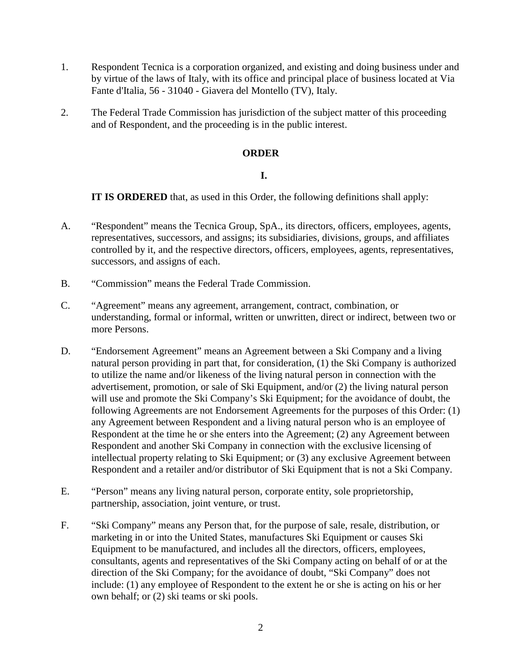- 1. Respondent Tecnica is a corporation organized, and existing and doing business under and by virtue of the laws of Italy, with its office and principal place of business located at Via Fante d'Italia, 56 - 31040 - Giavera del Montello (TV), Italy.
- 2. The Federal Trade Commission has jurisdiction of the subject matter of this proceeding and of Respondent, and the proceeding is in the public interest.

# **ORDER**

# **I.**

**IT IS ORDERED** that, as used in this Order, the following definitions shall apply:

- A. "Respondent" means the Tecnica Group, SpA., its directors, officers, employees, agents, representatives, successors, and assigns; its subsidiaries, divisions, groups, and affiliates controlled by it, and the respective directors, officers, employees, agents, representatives, successors, and assigns of each.
- B. "Commission" means the Federal Trade Commission.
- C. "Agreement" means any agreement, arrangement, contract, combination, or understanding, formal or informal, written or unwritten, direct or indirect, between two or more Persons.
- D. "Endorsement Agreement" means an Agreement between a Ski Company and a living natural person providing in part that, for consideration, (1) the Ski Company is authorized to utilize the name and/or likeness of the living natural person in connection with the advertisement, promotion, or sale of Ski Equipment, and/or (2) the living natural person will use and promote the Ski Company's Ski Equipment; for the avoidance of doubt, the following Agreements are not Endorsement Agreements for the purposes of this Order: (1) any Agreement between Respondent and a living natural person who is an employee of Respondent at the time he or she enters into the Agreement; (2) any Agreement between Respondent and another Ski Company in connection with the exclusive licensing of intellectual property relating to Ski Equipment; or (3) any exclusive Agreement between Respondent and a retailer and/or distributor of Ski Equipment that is not a Ski Company.
- E. "Person" means any living natural person, corporate entity, sole proprietorship, partnership, association, joint venture, or trust.
- F. "Ski Company" means any Person that, for the purpose of sale, resale, distribution, or marketing in or into the United States, manufactures Ski Equipment or causes Ski Equipment to be manufactured, and includes all the directors, officers, employees, consultants, agents and representatives of the Ski Company acting on behalf of or at the direction of the Ski Company; for the avoidance of doubt, "Ski Company" does not include: (1) any employee of Respondent to the extent he or she is acting on his or her own behalf; or (2) ski teams or ski pools.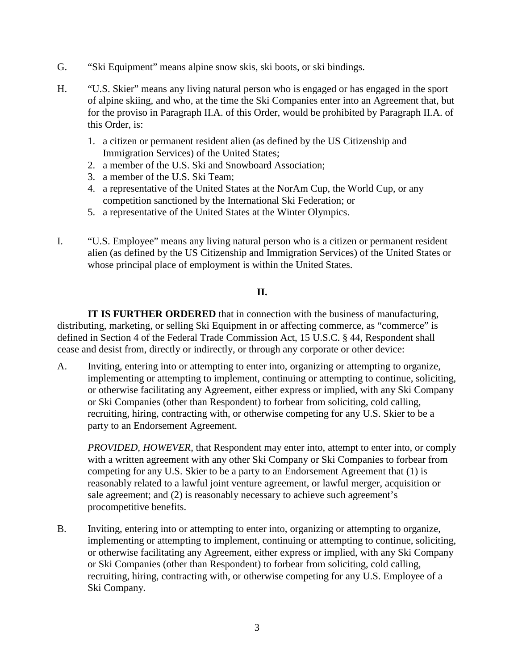- G. "Ski Equipment" means alpine snow skis, ski boots, or ski bindings.
- H. "U.S. Skier" means any living natural person who is engaged or has engaged in the sport of alpine skiing, and who, at the time the Ski Companies enter into an Agreement that, but for the proviso in Paragraph II.A. of this Order, would be prohibited by Paragraph II.A. of this Order, is:
	- 1. a citizen or permanent resident alien (as defined by the US Citizenship and Immigration Services) of the United States;
	- 2. a member of the U.S. Ski and Snowboard Association;
	- 3. a member of the U.S. Ski Team;
	- 4. a representative of the United States at the NorAm Cup, the World Cup, or any competition sanctioned by the International Ski Federation; or
	- 5. a representative of the United States at the Winter Olympics.
- I. "U.S. Employee" means any living natural person who is a citizen or permanent resident alien (as defined by the US Citizenship and Immigration Services) of the United States or whose principal place of employment is within the United States.

### **II.**

**IT IS FURTHER ORDERED** that in connection with the business of manufacturing, distributing, marketing, or selling Ski Equipment in or affecting commerce, as "commerce" is defined in Section 4 of the Federal Trade Commission Act, 15 U.S.C. § 44, Respondent shall cease and desist from, directly or indirectly, or through any corporate or other device:

A. Inviting, entering into or attempting to enter into, organizing or attempting to organize, implementing or attempting to implement, continuing or attempting to continue, soliciting, or otherwise facilitating any Agreement, either express or implied, with any Ski Company or Ski Companies (other than Respondent) to forbear from soliciting, cold calling, recruiting, hiring, contracting with, or otherwise competing for any U.S. Skier to be a party to an Endorsement Agreement.

*PROVIDED, HOWEVER*, that Respondent may enter into, attempt to enter into, or comply with a written agreement with any other Ski Company or Ski Companies to forbear from competing for any U.S. Skier to be a party to an Endorsement Agreement that (1) is reasonably related to a lawful joint venture agreement, or lawful merger, acquisition or sale agreement; and (2) is reasonably necessary to achieve such agreement's procompetitive benefits.

B. Inviting, entering into or attempting to enter into, organizing or attempting to organize, implementing or attempting to implement, continuing or attempting to continue, soliciting, or otherwise facilitating any Agreement, either express or implied, with any Ski Company or Ski Companies (other than Respondent) to forbear from soliciting, cold calling, recruiting, hiring, contracting with, or otherwise competing for any U.S. Employee of a Ski Company.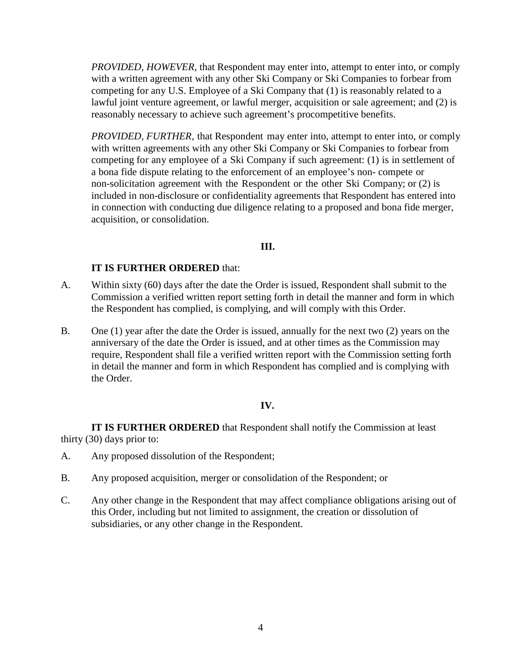*PROVIDED, HOWEVER*, that Respondent may enter into, attempt to enter into, or comply with a written agreement with any other Ski Company or Ski Companies to forbear from competing for any U.S. Employee of a Ski Company that (1) is reasonably related to a lawful joint venture agreement, or lawful merger, acquisition or sale agreement; and (2) is reasonably necessary to achieve such agreement's procompetitive benefits.

*PROVIDED, FURTHER,* that Respondent may enter into, attempt to enter into, or comply with written agreements with any other Ski Company or Ski Companies to forbear from competing for any employee of a Ski Company if such agreement: (1) is in settlement of a bona fide dispute relating to the enforcement of an employee's non- compete or non-solicitation agreement with the Respondent or the other Ski Company; or (2) is included in non-disclosure or confidentiality agreements that Respondent has entered into in connection with conducting due diligence relating to a proposed and bona fide merger, acquisition, or consolidation.

### **III.**

# **IT IS FURTHER ORDERED** that:

- A. Within sixty (60) days after the date the Order is issued, Respondent shall submit to the Commission a verified written report setting forth in detail the manner and form in which the Respondent has complied, is complying, and will comply with this Order.
- B. One (1) year after the date the Order is issued, annually for the next two (2) years on the anniversary of the date the Order is issued, and at other times as the Commission may require, Respondent shall file a verified written report with the Commission setting forth in detail the manner and form in which Respondent has complied and is complying with the Order.

# **IV.**

**IT IS FURTHER ORDERED** that Respondent shall notify the Commission at least thirty (30) days prior to:

- A. Any proposed dissolution of the Respondent;
- B. Any proposed acquisition, merger or consolidation of the Respondent; or
- C. Any other change in the Respondent that may affect compliance obligations arising out of this Order, including but not limited to assignment, the creation or dissolution of subsidiaries, or any other change in the Respondent.